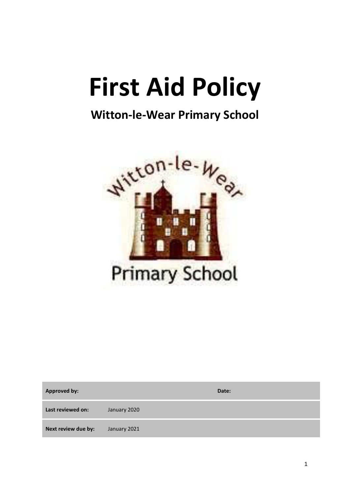# **First Aid Policy**

# **Witton-le-Wear Primary School**



| <b>Approved by:</b> |              | Date: |
|---------------------|--------------|-------|
| Last reviewed on:   | January 2020 |       |
| Next review due by: | January 2021 |       |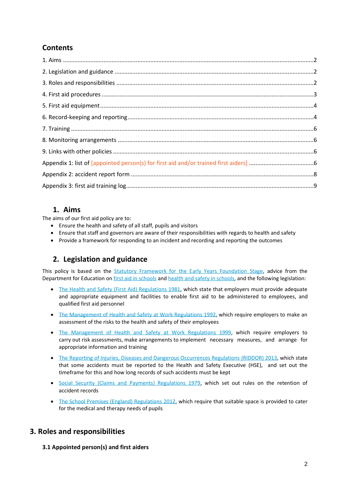# **Contents**

# **1. Aims**

The aims of our first aid policy are to:

- Ensure the health and safety of all staff, pupils and visitors
- Ensure that staff and governors are aware of their responsibilities with regards to health and safety
- Provide a framework for responding to an incident and recording and reporting the outcomes

# **2. Legislation and guidance**

This policy is based on the [Statutory Framework for the Early Years Foundation Stage,](https://www.gov.uk/government/uploads/system/uploads/attachment_data/file/596629/EYFS_STATUTORY_FRAMEWORK_2017.pdf) advice from the Department for Education o[n first aid in schools](https://www.gov.uk/government/publications/first-aid-in-schools) and [health and safety in schools,](https://www.gov.uk/government/publications/health-and-safety-advice-for-schools) and the following legislation:

- [The Health and Safety \(First Aid\) Regulations 1981,](http://www.legislation.gov.uk/uksi/1981/917/regulation/3/made) which state that employers must provide adequate and appropriate equipment and facilities to enable first aid to be administered to employees, and qualified first aid personnel
- [The Management of Health and Safety at Work Regulations 1992,](http://www.legislation.gov.uk/uksi/1992/2051/regulation/3/made) which require employers to make an assessment of the risks to the health and safety of their employees
- [The Management of Health and Safety at Work Regulations 1999,](http://www.legislation.gov.uk/uksi/1999/3242/contents/made) which require employers to carry out risk assessments, make arrangements to implement necessary measures, and arrange for appropriate information and training
- [The Reporting of Injuries, Diseases and Dangerous Occurrences Regulations](http://www.legislation.gov.uk/uksi/2013/1471/schedule/1/paragraph/1/made) (RIDDOR) 2013, which state that some accidents must be reported to the Health and Safety Executive (HSE), and set out the timeframe for this and how long records of such accidents must be kept
- [Social Security \(Claims and Payments\) Regulations 1979,](http://www.legislation.gov.uk/uksi/1979/628) which set out rules on the retention of accident records
- [The School Premises \(England\) Regulations 2012,](http://www.legislation.gov.uk/uksi/2012/1943/regulation/5/made) which require that suitable space is provided to cater for the medical and therapy needs of pupils

# **3. Roles and responsibilities**

**3.1 Appointed person(s) and first aiders**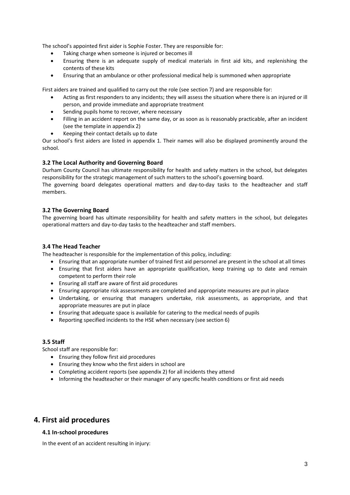The school's appointed first aider is Sophie Foster. They are responsible for:

- Taking charge when someone is injured or becomes ill
- Ensuring there is an adequate supply of medical materials in first aid kits, and replenishing the contents of these kits
- Ensuring that an ambulance or other professional medical help is summoned when appropriate

First aiders are trained and qualified to carry out the role (see section 7) and are responsible for:

- Acting as first responders to any incidents; they will assess the situation where there is an injured or ill person, and provide immediate and appropriate treatment
- Sending pupils home to recover, where necessary
- Filling in an accident report on the same day, or as soon as is reasonably practicable, after an incident (see the template in appendix 2)
- Keeping their contact details up to date

Our school's first aiders are listed in appendix 1. Their names will also be displayed prominently around the school.

#### **3.2 The Local Authority and Governing Board**

Durham County Council has ultimate responsibility for health and safety matters in the school, but delegates responsibility for the strategic management of such matters to the school's governing board.

The governing board delegates operational matters and day-to-day tasks to the headteacher and staff members.

#### **3.2 The Governing Board**

The governing board has ultimate responsibility for health and safety matters in the school, but delegates operational matters and day-to-day tasks to the headteacher and staff members.

#### **3.4 The Head Teacher**

The headteacher is responsible for the implementation of this policy, including:

- Ensuring that an appropriate number of trained first aid personnel are present in the school at all times
- Ensuring that first aiders have an appropriate qualification, keep training up to date and remain competent to perform their role
- Ensuring all staff are aware of first aid procedures
- Ensuring appropriate risk assessments are completed and appropriate measures are put in place
- Undertaking, or ensuring that managers undertake, risk assessments, as appropriate, and that appropriate measures are put in place
- Ensuring that adequate space is available for catering to the medical needs of pupils
- Reporting specified incidents to the HSE when necessary (see section 6)

#### **3.5 Staff**

School staff are responsible for:

- Ensuring they follow first aid procedures
- Ensuring they know who the first aiders in school are
- Completing accident reports (see appendix 2) for all incidents they attend
- Informing the headteacher or their manager of any specific health conditions or first aid needs

#### **4. First aid procedures**

#### **4.1 In-school procedures**

In the event of an accident resulting in injury: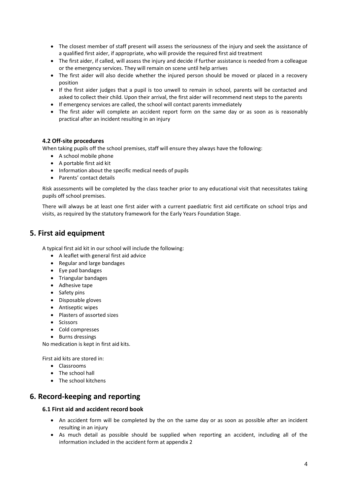- The closest member of staff present will assess the seriousness of the injury and seek the assistance of a qualified first aider, if appropriate, who will provide the required first aid treatment
- The first aider, if called, will assess the injury and decide if further assistance is needed from a colleague or the emergency services. They will remain on scene until help arrives
- The first aider will also decide whether the injured person should be moved or placed in a recovery position
- If the first aider judges that a pupil is too unwell to remain in school, parents will be contacted and asked to collect their child. Upon their arrival, the first aider will recommend next steps to the parents
- If emergency services are called, the school will contact parents immediately
- The first aider will complete an accident report form on the same day or as soon as is reasonably practical after an incident resulting in an injury

#### **4.2 Off-site procedures**

When taking pupils off the school premises, staff will ensure they always have the following:

- A school mobile phone
- A portable first aid kit
- Information about the specific medical needs of pupils
- Parents' contact details

Risk assessments will be completed by the class teacher prior to any educational visit that necessitates taking pupils off school premises.

There will always be at least one first aider with a current paediatric first aid certificate on school trips and visits, as required by the statutory framework for the Early Years Foundation Stage.

#### **5. First aid equipment**

A typical first aid kit in our school will include the following:

- A leaflet with general first aid advice
- Regular and large bandages
- Eye pad bandages
- Triangular bandages
- Adhesive tape
- Safety pins
- Disposable gloves
- Antiseptic wipes
- Plasters of assorted sizes
- Scissors
- Cold compresses
- Burns dressings

No medication is kept in first aid kits.

First aid kits are stored in:

- Classrooms
- The school hall
- The school kitchens

# **6. Record-keeping and reporting**

#### **6.1 First aid and accident record book**

- An accident form will be completed by the on the same day or as soon as possible after an incident resulting in an injury
- As much detail as possible should be supplied when reporting an accident, including all of the information included in the accident form at appendix 2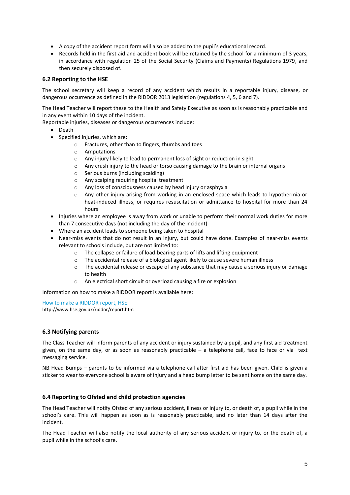- A copy of the accident report form will also be added to the pupil's educational record.
- Records held in the first aid and accident book will be retained by the school for a minimum of 3 years, in accordance with regulation 25 of the Social Security (Claims and Payments) Regulations 1979, and then securely disposed of.

#### **6.2 Reporting to the HSE**

The school secretary will keep a record of any accident which results in a reportable injury, disease, or dangerous occurrence as defined in the RIDDOR 2013 legislation (regulations 4, 5, 6 and 7).

The Head Teacher will report these to the Health and Safety Executive as soon as is reasonably practicable and in any event within 10 days of the incident.

Reportable injuries, diseases or dangerous occurrences include:

- Death
- Specified injuries, which are:
	- o Fractures, other than to fingers, thumbs and toes
	- o Amputations
	- o Any injury likely to lead to permanent loss of sight or reduction in sight
	- $\circ$  Any crush injury to the head or torso causing damage to the brain or internal organs
	- o Serious burns (including scalding)
	- o Any scalping requiring hospital treatment
	- o Any loss of consciousness caused by head injury or asphyxia
	- o Any other injury arising from working in an enclosed space which leads to hypothermia or heat-induced illness, or requires resuscitation or admittance to hospital for more than 24 hours
- Injuries where an employee is away from work or unable to perform their normal work duties for more than 7 consecutive days (not including the day of the incident)
- Where an accident leads to someone being taken to hospital
- Near-miss events that do not result in an injury, but could have done. Examples of near-miss events relevant to schools include, but are not limited to:
	- o The collapse or failure of load-bearing parts of lifts and lifting equipment
	- o The accidental release of a biological agent likely to cause severe human illness
	- $\circ$  The accidental release or escape of any substance that may cause a serious injury or damage to health
	- o An electrical short circuit or overload causing a fire or explosion

Information on how to make a RIDDOR report is available here:

[How to make a RIDDOR report, HSE](http://www.hse.gov.uk/riddor/report.htm) http://www.hse.gov.uk/riddor/report.htm

#### **6.3 Notifying parents**

The Class Teacher will inform parents of any accident or injury sustained by a pupil, and any first aid treatment given, on the same day, or as soon as reasonably practicable – a telephone call, face to face or via text messaging service.

NB Head Bumps – parents to be informed via a telephone call after first aid has been given. Child is given a sticker to wear to everyone school is aware of injury and a head bump letter to be sent home on the same day.

#### **6.4 Reporting to Ofsted and child protection agencies**

The Head Teacher will notify Ofsted of any serious accident, illness or injury to, or death of, a pupil while in the school's care. This will happen as soon as is reasonably practicable, and no later than 14 days after the incident.

The Head Teacher will also notify the local authority of any serious accident or injury to, or the death of, a pupil while in the school's care.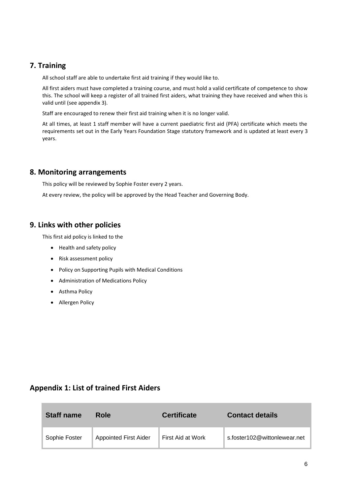# **7. Training**

All school staff are able to undertake first aid training if they would like to.

All first aiders must have completed a training course, and must hold a valid certificate of competence to show this. The school will keep a register of all trained first aiders, what training they have received and when this is valid until (see appendix 3).

Staff are encouraged to renew their first aid training when it is no longer valid.

At all times, at least 1 staff member will have a current paediatric first aid (PFA) certificate which meets the requirements set out in the Early Years Foundation Stage statutory framework and is updated at least every 3 years.

# **8. Monitoring arrangements**

This policy will be reviewed by Sophie Foster every 2 years.

At every review, the policy will be approved by the Head Teacher and Governing Body.

# **9. Links with other policies**

This first aid policy is linked to the

- Health and safety policy
- Risk assessment policy
- Policy on Supporting Pupils with Medical Conditions
- Administration of Medications Policy
- Asthma Policy
- Allergen Policy

# **Appendix 1: List of trained First Aiders**

| <b>Staff name</b> | Role                         | <b>Certificate</b> | <b>Contact details</b>       |
|-------------------|------------------------------|--------------------|------------------------------|
| Sophie Foster     | <b>Appointed First Aider</b> | First Aid at Work  | s.foster102@wittonlewear.net |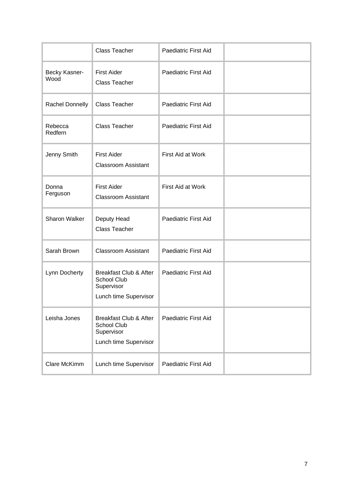|                       | <b>Class Teacher</b>                                                                    | <b>Paediatric First Aid</b> |  |
|-----------------------|-----------------------------------------------------------------------------------------|-----------------------------|--|
| Becky Kasner-<br>Wood | <b>First Aider</b><br><b>Class Teacher</b>                                              | Paediatric First Aid        |  |
| Rachel Donnelly       | <b>Class Teacher</b>                                                                    | <b>Paediatric First Aid</b> |  |
| Rebecca<br>Redfern    | <b>Class Teacher</b>                                                                    | <b>Paediatric First Aid</b> |  |
| Jenny Smith           | <b>First Aider</b><br><b>Classroom Assistant</b>                                        | First Aid at Work           |  |
| Donna<br>Ferguson     | <b>First Aider</b><br><b>Classroom Assistant</b>                                        | First Aid at Work           |  |
| Sharon Walker         | Deputy Head<br><b>Class Teacher</b>                                                     | <b>Paediatric First Aid</b> |  |
| Sarah Brown           | <b>Classroom Assistant</b>                                                              | <b>Paediatric First Aid</b> |  |
| Lynn Docherty         | <b>Breakfast Club &amp; After</b><br>School Club<br>Supervisor<br>Lunch time Supervisor | <b>Paediatric First Aid</b> |  |
| Leisha Jones          | <b>Breakfast Club &amp; After</b><br>School Club<br>Supervisor<br>Lunch time Supervisor | <b>Paediatric First Aid</b> |  |
| Clare McKimm          | Lunch time Supervisor                                                                   | Paediatric First Aid        |  |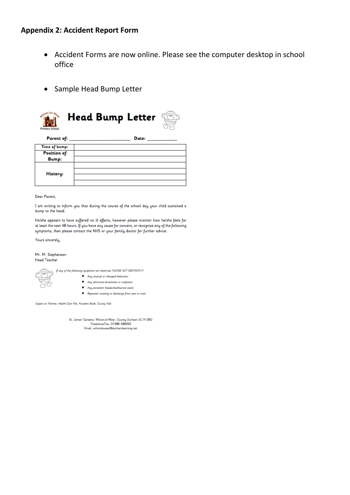# **Appendix 2: Accident Report Form**

- Accident Forms are now online. Please see the computer desktop in school office
- Sample Head Bump Letter



Bump: **History:** 

Dear Parent,

I am writing to inform you that during the course of the school day your child sustained a bump to the head.

He/she appears to have suffered no ill effects, however please monitor how he/she feels for at least the next 48 hours. If you have any cause for concern, or recognise any of the following symptoms, then please contact the NHS or your family doctor for further advice.

Yours sincerely,

Mr. M. Stephenson **Head Teacher** 



St. James' Gardens, Witton-le-Wear, County Durham DL14 0BG<br>Telephone/Fax: 01388 488350 Email: wittonlewear@durhamlearning.net